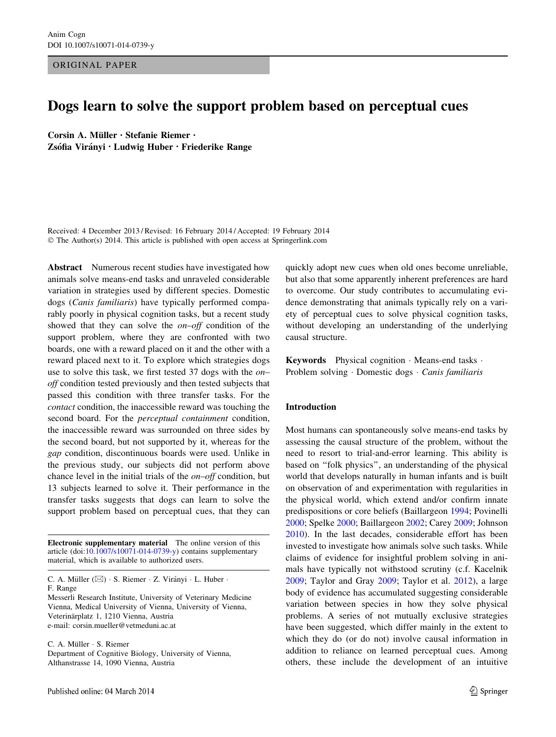ORIGINAL PAPER

# Dogs learn to solve the support problem based on perceptual cues

Corsin A. Müller · Stefanie Riemer · Zsófia Virányi • Ludwig Huber • Friederike Range

Received: 4 December 2013 / Revised: 16 February 2014 / Accepted: 19 February 2014 © The Author(s) 2014. This article is published with open access at Springerlink.com

Abstract Numerous recent studies have investigated how animals solve means-end tasks and unraveled considerable variation in strategies used by different species. Domestic dogs (Canis familiaris) have typically performed comparably poorly in physical cognition tasks, but a recent study showed that they can solve the *on–off* condition of the support problem, where they are confronted with two boards, one with a reward placed on it and the other with a reward placed next to it. To explore which strategies dogs use to solve this task, we first tested 37 dogs with the *on*– off condition tested previously and then tested subjects that passed this condition with three transfer tasks. For the contact condition, the inaccessible reward was touching the second board. For the perceptual containment condition, the inaccessible reward was surrounded on three sides by the second board, but not supported by it, whereas for the gap condition, discontinuous boards were used. Unlike in the previous study, our subjects did not perform above chance level in the initial trials of the *on–off* condition, but 13 subjects learned to solve it. Their performance in the transfer tasks suggests that dogs can learn to solve the support problem based on perceptual cues, that they can

Electronic supplementary material The online version of this article (doi:[10.1007/s10071-014-0739-y\)](http://dx.doi.org/10.1007/s10071-014-0739-y) contains supplementary material, which is available to authorized users.

- C. A. Müller (⊠) · S. Riemer · Z. Virányi · L. Huber · F. Range
- Messerli Research Institute, University of Veterinary Medicine Vienna, Medical University of Vienna, University of Vienna, Veterinärplatz 1, 1210 Vienna, Austria e-mail: corsin.mueller@vetmeduni.ac.at

C. A. Müller · S. Riemer

Department of Cognitive Biology, University of Vienna, Althanstrasse 14, 1090 Vienna, Austria

quickly adopt new cues when old ones become unreliable, but also that some apparently inherent preferences are hard to overcome. Our study contributes to accumulating evidence demonstrating that animals typically rely on a variety of perceptual cues to solve physical cognition tasks, without developing an understanding of the underlying causal structure.

Keywords Physical cognition - Means-end tasks - Problem solving · Domestic dogs · Canis familiaris

# Introduction

Most humans can spontaneously solve means-end tasks by assessing the causal structure of the problem, without the need to resort to trial-and-error learning. This ability is based on ''folk physics'', an understanding of the physical world that develops naturally in human infants and is built on observation of and experimentation with regularities in the physical world, which extend and/or confirm innate predispositions or core beliefs (Baillargeon [1994;](#page-8-0) Povinelli [2000](#page-9-0); Spelke [2000;](#page-9-0) Baillargeon [2002](#page-8-0); Carey [2009](#page-8-0); Johnson [2010](#page-9-0)). In the last decades, considerable effort has been invested to investigate how animals solve such tasks. While claims of evidence for insightful problem solving in animals have typically not withstood scrutiny (c.f. Kacelnik [2009](#page-9-0); Taylor and Gray [2009;](#page-9-0) Taylor et al. [2012](#page-9-0)), a large body of evidence has accumulated suggesting considerable variation between species in how they solve physical problems. A series of not mutually exclusive strategies have been suggested, which differ mainly in the extent to which they do (or do not) involve causal information in addition to reliance on learned perceptual cues. Among others, these include the development of an intuitive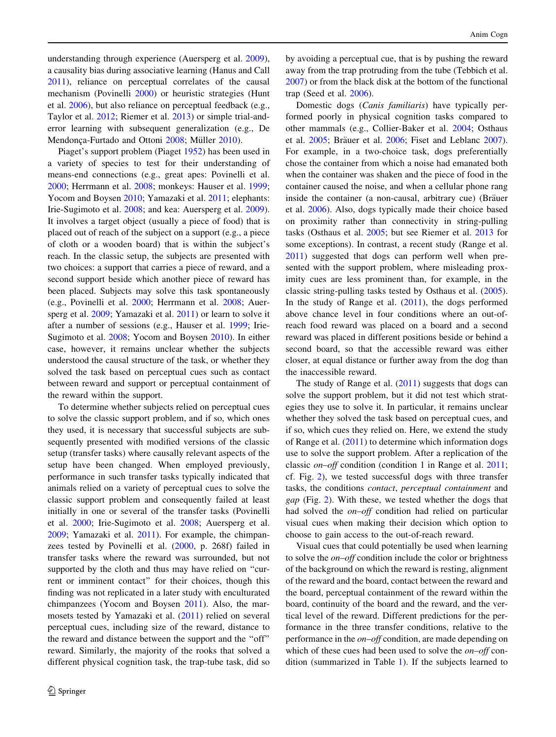understanding through experience (Auersperg et al. [2009](#page-8-0)), a causality bias during associative learning (Hanus and Call [2011\)](#page-9-0), reliance on perceptual correlates of the causal mechanism (Povinelli [2000\)](#page-9-0) or heuristic strategies (Hunt et al. [2006\)](#page-9-0), but also reliance on perceptual feedback (e.g., Taylor et al. [2012;](#page-9-0) Riemer et al. [2013\)](#page-9-0) or simple trial-anderror learning with subsequent generalization (e.g., De Mendonça-Furtado and Ottoni [2008;](#page-8-0) Müller [2010](#page-9-0)).

Piaget's support problem (Piaget [1952\)](#page-9-0) has been used in a variety of species to test for their understanding of means-end connections (e.g., great apes: Povinelli et al. [2000;](#page-9-0) Herrmann et al. [2008;](#page-9-0) monkeys: Hauser et al. [1999](#page-9-0); Yocom and Boysen [2010](#page-9-0); Yamazaki et al. [2011](#page-9-0); elephants: Irie-Sugimoto et al. [2008](#page-9-0); and kea: Auersperg et al. [2009](#page-8-0)). It involves a target object (usually a piece of food) that is placed out of reach of the subject on a support (e.g., a piece of cloth or a wooden board) that is within the subject's reach. In the classic setup, the subjects are presented with two choices: a support that carries a piece of reward, and a second support beside which another piece of reward has been placed. Subjects may solve this task spontaneously (e.g., Povinelli et al. [2000](#page-9-0); Herrmann et al. [2008;](#page-9-0) Auersperg et al. [2009;](#page-8-0) Yamazaki et al. [2011](#page-9-0)) or learn to solve it after a number of sessions (e.g., Hauser et al. [1999](#page-9-0); Irie-Sugimoto et al. [2008](#page-9-0); Yocom and Boysen [2010\)](#page-9-0). In either case, however, it remains unclear whether the subjects understood the causal structure of the task, or whether they solved the task based on perceptual cues such as contact between reward and support or perceptual containment of the reward within the support.

To determine whether subjects relied on perceptual cues to solve the classic support problem, and if so, which ones they used, it is necessary that successful subjects are subsequently presented with modified versions of the classic setup (transfer tasks) where causally relevant aspects of the setup have been changed. When employed previously, performance in such transfer tasks typically indicated that animals relied on a variety of perceptual cues to solve the classic support problem and consequently failed at least initially in one or several of the transfer tasks (Povinelli et al. [2000;](#page-9-0) Irie-Sugimoto et al. [2008](#page-9-0); Auersperg et al. [2009;](#page-8-0) Yamazaki et al. [2011](#page-9-0)). For example, the chimpanzees tested by Povinelli et al. [\(2000](#page-9-0), p. 268f) failed in transfer tasks where the reward was surrounded, but not supported by the cloth and thus may have relied on ''current or imminent contact'' for their choices, though this finding was not replicated in a later study with enculturated chimpanzees (Yocom and Boysen [2011\)](#page-9-0). Also, the marmosets tested by Yamazaki et al. [\(2011](#page-9-0)) relied on several perceptual cues, including size of the reward, distance to the reward and distance between the support and the ''off'' reward. Similarly, the majority of the rooks that solved a different physical cognition task, the trap-tube task, did so by avoiding a perceptual cue, that is by pushing the reward away from the trap protruding from the tube (Tebbich et al. [2007](#page-9-0)) or from the black disk at the bottom of the functional trap (Seed et al. [2006\)](#page-9-0).

Domestic dogs (Canis familiaris) have typically performed poorly in physical cognition tasks compared to other mammals (e.g., Collier-Baker et al. [2004;](#page-8-0) Osthaus et al. [2005;](#page-9-0) Bräuer et al. [2006;](#page-8-0) Fiset and Leblanc [2007](#page-9-0)). For example, in a two-choice task, dogs preferentially chose the container from which a noise had emanated both when the container was shaken and the piece of food in the container caused the noise, and when a cellular phone rang inside the container (a non-causal, arbitrary cue) (Bräuer et al. [2006](#page-8-0)). Also, dogs typically made their choice based on proximity rather than connectivity in string-pulling tasks (Osthaus et al. [2005;](#page-9-0) but see Riemer et al. [2013](#page-9-0) for some exceptions). In contrast, a recent study (Range et al. [2011](#page-9-0)) suggested that dogs can perform well when presented with the support problem, where misleading proximity cues are less prominent than, for example, in the classic string-pulling tasks tested by Osthaus et al. [\(2005](#page-9-0)). In the study of Range et al. ([2011\)](#page-9-0), the dogs performed above chance level in four conditions where an out-ofreach food reward was placed on a board and a second reward was placed in different positions beside or behind a second board, so that the accessible reward was either closer, at equal distance or further away from the dog than the inaccessible reward.

The study of Range et al.  $(2011)$  $(2011)$  suggests that dogs can solve the support problem, but it did not test which strategies they use to solve it. In particular, it remains unclear whether they solved the task based on perceptual cues, and if so, which cues they relied on. Here, we extend the study of Range et al. [\(2011](#page-9-0)) to determine which information dogs use to solve the support problem. After a replication of the classic on–off condition (condition 1 in Range et al. [2011](#page-9-0); cf. Fig. [2\)](#page-4-0), we tested successful dogs with three transfer tasks, the conditions contact, perceptual containment and gap (Fig. [2](#page-4-0)). With these, we tested whether the dogs that had solved the *on–off* condition had relied on particular visual cues when making their decision which option to choose to gain access to the out-of-reach reward.

Visual cues that could potentially be used when learning to solve the *on–off* condition include the color or brightness of the background on which the reward is resting, alignment of the reward and the board, contact between the reward and the board, perceptual containment of the reward within the board, continuity of the board and the reward, and the vertical level of the reward. Different predictions for the performance in the three transfer conditions, relative to the performance in the on–off condition, are made depending on which of these cues had been used to solve the *on–off* condition (summarized in Table [1\)](#page-2-0). If the subjects learned to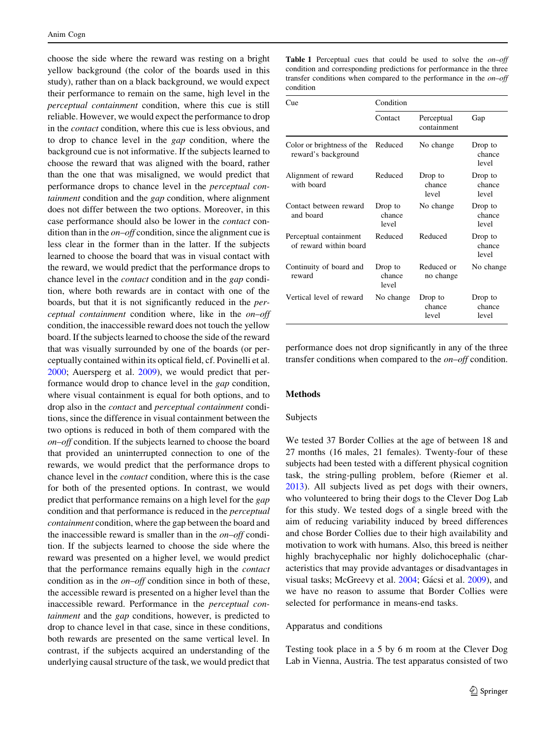<span id="page-2-0"></span>choose the side where the reward was resting on a bright yellow background (the color of the boards used in this study), rather than on a black background, we would expect their performance to remain on the same, high level in the perceptual containment condition, where this cue is still reliable. However, we would expect the performance to drop in the contact condition, where this cue is less obvious, and to drop to chance level in the gap condition, where the background cue is not informative. If the subjects learned to choose the reward that was aligned with the board, rather than the one that was misaligned, we would predict that performance drops to chance level in the perceptual containment condition and the *gap* condition, where alignment does not differ between the two options. Moreover, in this case performance should also be lower in the contact condition than in the *on–off* condition, since the alignment cue is less clear in the former than in the latter. If the subjects learned to choose the board that was in visual contact with the reward, we would predict that the performance drops to chance level in the contact condition and in the gap condition, where both rewards are in contact with one of the boards, but that it is not significantly reduced in the perceptual containment condition where, like in the on-off condition, the inaccessible reward does not touch the yellow board. If the subjects learned to choose the side of the reward that was visually surrounded by one of the boards (or perceptually contained within its optical field, cf. Povinelli et al. [2000;](#page-9-0) Auersperg et al. [2009](#page-8-0)), we would predict that performance would drop to chance level in the gap condition, where visual containment is equal for both options, and to drop also in the contact and perceptual containment conditions, since the difference in visual containment between the two options is reduced in both of them compared with the on–off condition. If the subjects learned to choose the board that provided an uninterrupted connection to one of the rewards, we would predict that the performance drops to chance level in the contact condition, where this is the case for both of the presented options. In contrast, we would predict that performance remains on a high level for the gap condition and that performance is reduced in the perceptual containment condition, where the gap between the board and the inaccessible reward is smaller than in the *on–off* condition. If the subjects learned to choose the side where the reward was presented on a higher level, we would predict that the performance remains equally high in the contact condition as in the *on–off* condition since in both of these, the accessible reward is presented on a higher level than the inaccessible reward. Performance in the perceptual containment and the gap conditions, however, is predicted to drop to chance level in that case, since in these conditions, both rewards are presented on the same vertical level. In contrast, if the subjects acquired an understanding of the underlying causal structure of the task, we would predict that

Table 1 Perceptual cues that could be used to solve the *on–off* condition and corresponding predictions for performance in the three transfer conditions when compared to the performance in the on–off condition

| Cue                                               | Condition                  |                            |                            |
|---------------------------------------------------|----------------------------|----------------------------|----------------------------|
|                                                   | Contact                    | Perceptual<br>containment  | Gap                        |
| Color or brightness of the<br>reward's background | Reduced                    | No change                  | Drop to<br>chance<br>level |
| Alignment of reward<br>with board                 | Reduced                    | Drop to<br>chance<br>level | Drop to<br>chance<br>level |
| Contact between reward<br>and board               | Drop to<br>chance<br>level | No change                  | Drop to<br>chance<br>level |
| Perceptual containment<br>of reward within board  | Reduced                    | Reduced                    | Drop to<br>chance<br>level |
| Continuity of board and<br>reward                 | Drop to<br>chance<br>level | Reduced or<br>no change    | No change                  |
| Vertical level of reward                          | No change                  | Drop to<br>chance<br>level | Drop to<br>chance<br>level |

performance does not drop significantly in any of the three transfer conditions when compared to the on–off condition.

# **Methods**

# Subjects

We tested 37 Border Collies at the age of between 18 and 27 months (16 males, 21 females). Twenty-four of these subjects had been tested with a different physical cognition task, the string-pulling problem, before (Riemer et al. [2013](#page-9-0)). All subjects lived as pet dogs with their owners, who volunteered to bring their dogs to the Clever Dog Lab for this study. We tested dogs of a single breed with the aim of reducing variability induced by breed differences and chose Border Collies due to their high availability and motivation to work with humans. Also, this breed is neither highly brachycephalic nor highly dolichocephalic (characteristics that may provide advantages or disadvantages in visual tasks; McGreevy et al. [2004;](#page-9-0) Gácsi et al. [2009](#page-9-0)), and we have no reason to assume that Border Collies were selected for performance in means-end tasks.

### Apparatus and conditions

Testing took place in a 5 by 6 m room at the Clever Dog Lab in Vienna, Austria. The test apparatus consisted of two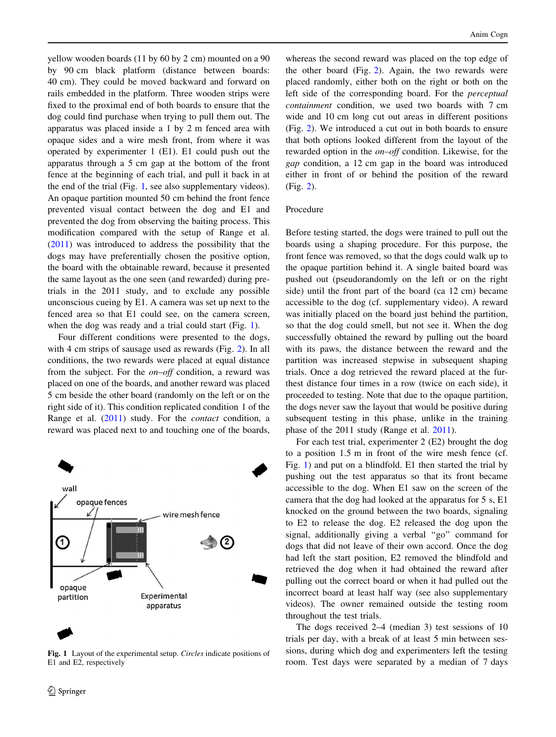yellow wooden boards (11 by 60 by 2 cm) mounted on a 90 by 90 cm black platform (distance between boards: 40 cm). They could be moved backward and forward on rails embedded in the platform. Three wooden strips were fixed to the proximal end of both boards to ensure that the dog could find purchase when trying to pull them out. The apparatus was placed inside a 1 by 2 m fenced area with opaque sides and a wire mesh front, from where it was operated by experimenter 1 (E1). E1 could push out the apparatus through a 5 cm gap at the bottom of the front fence at the beginning of each trial, and pull it back in at the end of the trial (Fig. 1, see also supplementary videos). An opaque partition mounted 50 cm behind the front fence prevented visual contact between the dog and E1 and prevented the dog from observing the baiting process. This modification compared with the setup of Range et al. [\(2011](#page-9-0)) was introduced to address the possibility that the dogs may have preferentially chosen the positive option, the board with the obtainable reward, because it presented the same layout as the one seen (and rewarded) during pretrials in the 2011 study, and to exclude any possible unconscious cueing by E1. A camera was set up next to the fenced area so that E1 could see, on the camera screen, when the dog was ready and a trial could start (Fig. 1).

Four different conditions were presented to the dogs, with 4 cm strips of sausage used as rewards (Fig. [2](#page-4-0)). In all conditions, the two rewards were placed at equal distance from the subject. For the *on–off* condition, a reward was placed on one of the boards, and another reward was placed 5 cm beside the other board (randomly on the left or on the right side of it). This condition replicated condition 1 of the Range et al. ([2011\)](#page-9-0) study. For the contact condition, a reward was placed next to and touching one of the boards,



Fig. 1 Layout of the experimental setup. Circles indicate positions of E1 and E2, respectively

whereas the second reward was placed on the top edge of the other board (Fig. [2\)](#page-4-0). Again, the two rewards were placed randomly, either both on the right or both on the left side of the corresponding board. For the perceptual containment condition, we used two boards with 7 cm wide and 10 cm long cut out areas in different positions (Fig. [2\)](#page-4-0). We introduced a cut out in both boards to ensure that both options looked different from the layout of the rewarded option in the on–off condition. Likewise, for the gap condition, a 12 cm gap in the board was introduced either in front of or behind the position of the reward (Fig. [2\)](#page-4-0).

# Procedure

Before testing started, the dogs were trained to pull out the boards using a shaping procedure. For this purpose, the front fence was removed, so that the dogs could walk up to the opaque partition behind it. A single baited board was pushed out (pseudorandomly on the left or on the right side) until the front part of the board (ca 12 cm) became accessible to the dog (cf. supplementary video). A reward was initially placed on the board just behind the partition, so that the dog could smell, but not see it. When the dog successfully obtained the reward by pulling out the board with its paws, the distance between the reward and the partition was increased stepwise in subsequent shaping trials. Once a dog retrieved the reward placed at the furthest distance four times in a row (twice on each side), it proceeded to testing. Note that due to the opaque partition, the dogs never saw the layout that would be positive during subsequent testing in this phase, unlike in the training phase of the 2011 study (Range et al. [2011\)](#page-9-0).

For each test trial, experimenter 2 (E2) brought the dog to a position 1.5 m in front of the wire mesh fence (cf. Fig. 1) and put on a blindfold. E1 then started the trial by pushing out the test apparatus so that its front became accessible to the dog. When E1 saw on the screen of the camera that the dog had looked at the apparatus for 5 s, E1 knocked on the ground between the two boards, signaling to E2 to release the dog. E2 released the dog upon the signal, additionally giving a verbal ''go'' command for dogs that did not leave of their own accord. Once the dog had left the start position, E2 removed the blindfold and retrieved the dog when it had obtained the reward after pulling out the correct board or when it had pulled out the incorrect board at least half way (see also supplementary videos). The owner remained outside the testing room throughout the test trials.

The dogs received 2–4 (median 3) test sessions of 10 trials per day, with a break of at least 5 min between sessions, during which dog and experimenters left the testing room. Test days were separated by a median of 7 days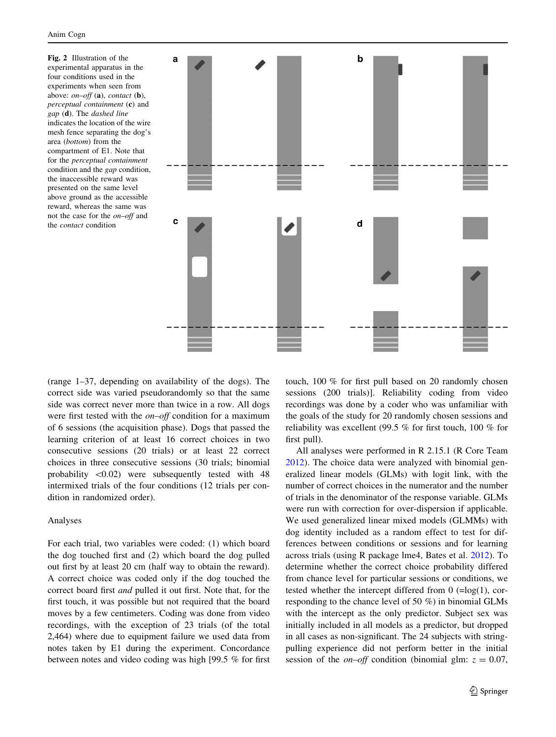<span id="page-4-0"></span>Fig. 2 Illustration of the experimental apparatus in the four conditions used in the experiments when seen from above:  $on$ -off  $(a)$ , contact  $(b)$ , perceptual containment (c) and gap (d). The dashed line indicates the location of the wire mesh fence separating the dog's area (bottom) from the compartment of E1. Note that for the perceptual containment condition and the gap condition, the inaccessible reward was presented on the same level above ground as the accessible reward, whereas the same was not the case for the on–off and the contact condition



(range 1–37, depending on availability of the dogs). The correct side was varied pseudorandomly so that the same side was correct never more than twice in a row. All dogs were first tested with the *on–off* condition for a maximum of 6 sessions (the acquisition phase). Dogs that passed the learning criterion of at least 16 correct choices in two consecutive sessions (20 trials) or at least 22 correct choices in three consecutive sessions (30 trials; binomial probability  $\langle 0.02 \rangle$  were subsequently tested with 48 intermixed trials of the four conditions (12 trials per condition in randomized order).

#### Analyses

For each trial, two variables were coded: (1) which board the dog touched first and (2) which board the dog pulled out first by at least 20 cm (half way to obtain the reward). A correct choice was coded only if the dog touched the correct board first and pulled it out first. Note that, for the first touch, it was possible but not required that the board moves by a few centimeters. Coding was done from video recordings, with the exception of 23 trials (of the total 2,464) where due to equipment failure we used data from notes taken by E1 during the experiment. Concordance between notes and video coding was high [99.5 % for first touch, 100 % for first pull based on 20 randomly chosen sessions (200 trials)]. Reliability coding from video recordings was done by a coder who was unfamiliar with the goals of the study for 20 randomly chosen sessions and reliability was excellent (99.5 % for first touch, 100 % for first pull).

All analyses were performed in R 2.15.1 (R Core Team [2012](#page-9-0)). The choice data were analyzed with binomial generalized linear models (GLMs) with logit link, with the number of correct choices in the numerator and the number of trials in the denominator of the response variable. GLMs were run with correction for over-dispersion if applicable. We used generalized linear mixed models (GLMMs) with dog identity included as a random effect to test for differences between conditions or sessions and for learning across trials (using R package lme4, Bates et al. [2012](#page-8-0)). To determine whether the correct choice probability differed from chance level for particular sessions or conditions, we tested whether the intercept differed from  $0$  (=log(1), corresponding to the chance level of 50 %) in binomial GLMs with the intercept as the only predictor. Subject sex was initially included in all models as a predictor, but dropped in all cases as non-significant. The 24 subjects with stringpulling experience did not perform better in the initial session of the *on–off* condition (binomial glm:  $z = 0.07$ ,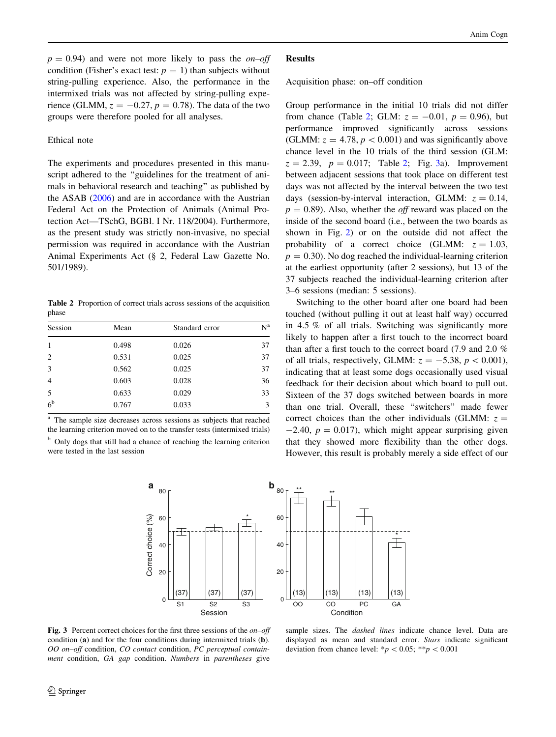<span id="page-5-0"></span> $p = 0.94$  and were not more likely to pass the *on–off* condition (Fisher's exact test:  $p = 1$ ) than subjects without string-pulling experience. Also, the performance in the intermixed trials was not affected by string-pulling experience (GLMM,  $z = -0.27$ ,  $p = 0.78$ ). The data of the two groups were therefore pooled for all analyses.

# Ethical note

The experiments and procedures presented in this manuscript adhered to the ''guidelines for the treatment of animals in behavioral research and teaching'' as published by the ASAB [\(2006](#page-8-0)) and are in accordance with the Austrian Federal Act on the Protection of Animals (Animal Protection Act—TSchG, BGBl. I Nr. 118/2004). Furthermore, as the present study was strictly non-invasive, no special permission was required in accordance with the Austrian Animal Experiments Act (§ 2, Federal Law Gazette No. 501/1989).

Table 2 Proportion of correct trials across sessions of the acquisition phase

| Session        | Mean  | Standard error | $N^a$ |
|----------------|-------|----------------|-------|
| 1              | 0.498 | 0.026          | 37    |
| $\overline{2}$ | 0.531 | 0.025          | 37    |
| 3              | 0.562 | 0.025          | 37    |
| $\overline{4}$ | 0.603 | 0.028          | 36    |
| 5              | 0.633 | 0.029          | 33    |
| 6 <sup>b</sup> | 0.767 | 0.033          | 3     |

<sup>a</sup> The sample size decreases across sessions as subjects that reached the learning criterion moved on to the transfer tests (intermixed trials) <sup>b</sup> Only dogs that still had a chance of reaching the learning criterion were tested in the last session

#### Results

Acquisition phase: on–off condition

Group performance in the initial 10 trials did not differ from chance (Table 2; GLM:  $z = -0.01$ ,  $p = 0.96$ ), but performance improved significantly across sessions (GLMM:  $z = 4.78$ ,  $p < 0.001$ ) and was significantly above chance level in the 10 trials of the third session (GLM:  $z = 2.39$ ,  $p = 0.017$ ; Table 2; Fig. 3a). Improvement between adjacent sessions that took place on different test days was not affected by the interval between the two test days (session-by-interval interaction, GLMM:  $z = 0.14$ ,  $p = 0.89$ . Also, whether the *off* reward was placed on the inside of the second board (i.e., between the two boards as shown in Fig. [2](#page-4-0)) or on the outside did not affect the probability of a correct choice (GLMM:  $z = 1.03$ ,  $p = 0.30$ ). No dog reached the individual-learning criterion at the earliest opportunity (after 2 sessions), but 13 of the 37 subjects reached the individual-learning criterion after 3–6 sessions (median: 5 sessions).

Switching to the other board after one board had been touched (without pulling it out at least half way) occurred in 4.5 % of all trials. Switching was significantly more likely to happen after a first touch to the incorrect board than after a first touch to the correct board (7.9 and 2.0 % of all trials, respectively, GLMM:  $z = -5.38$ ,  $p < 0.001$ ), indicating that at least some dogs occasionally used visual feedback for their decision about which board to pull out. Sixteen of the 37 dogs switched between boards in more than one trial. Overall, these ''switchers'' made fewer correct choices than the other individuals (GLMM:  $z =$  $-2.40, p = 0.017$ , which might appear surprising given that they showed more flexibility than the other dogs. However, this result is probably merely a side effect of our





Fig. 3 Percent correct choices for the first three sessions of the  $on$ -off condition (a) and for the four conditions during intermixed trials (b). OO on-off condition, CO contact condition, PC perceptual containment condition, GA gap condition. Numbers in parentheses give

sample sizes. The dashed lines indicate chance level. Data are displayed as mean and standard error. Stars indicate significant deviation from chance level: \* $p < 0.05$ ; \*\*p $< 0.001$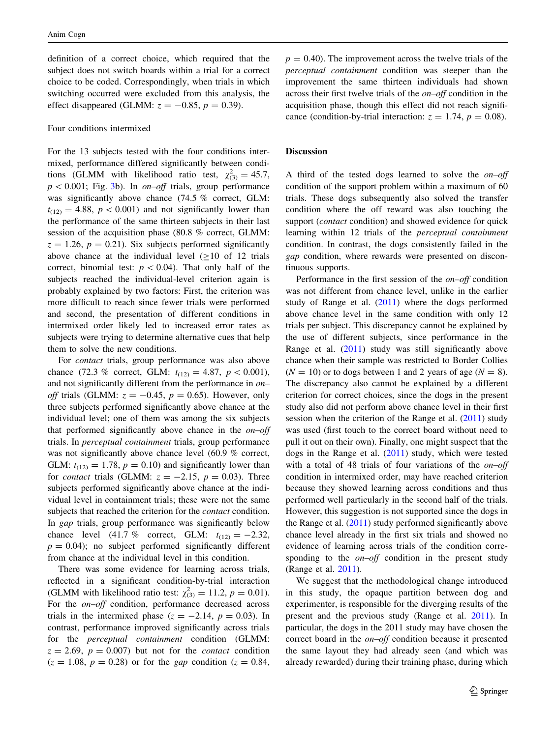definition of a correct choice, which required that the subject does not switch boards within a trial for a correct choice to be coded. Correspondingly, when trials in which switching occurred were excluded from this analysis, the effect disappeared (GLMM:  $z = -0.85$ ,  $p = 0.39$ ).

# Four conditions intermixed

For the 13 subjects tested with the four conditions intermixed, performance differed significantly between conditions (GLMM with likelihood ratio test,  $\chi^2_{(3)} = 45.7$ ,  $p < 0.001$ ; Fig. [3](#page-5-0)b). In on–off trials, group performance was significantly above chance (74.5 % correct, GLM:  $t_{(12)} = 4.88$ ,  $p < 0.001$ ) and not significantly lower than the performance of the same thirteen subjects in their last session of the acquisition phase (80.8 % correct, GLMM:  $z = 1.26$ ,  $p = 0.21$ ). Six subjects performed significantly above chance at the individual level  $(≥10$  of 12 trials correct, binomial test:  $p < 0.04$ ). That only half of the subjects reached the individual-level criterion again is probably explained by two factors: First, the criterion was more difficult to reach since fewer trials were performed and second, the presentation of different conditions in intermixed order likely led to increased error rates as subjects were trying to determine alternative cues that help them to solve the new conditions.

For contact trials, group performance was also above chance (72.3 % correct, GLM:  $t_{(12)} = 4.87$ ,  $p < 0.001$ ), and not significantly different from the performance in on– *off* trials (GLMM:  $z = -0.45$ ,  $p = 0.65$ ). However, only three subjects performed significantly above chance at the individual level; one of them was among the six subjects that performed significantly above chance in the  $on$ -off trials. In perceptual containment trials, group performance was not significantly above chance level (60.9 % correct, GLM:  $t_{(12)} = 1.78$ ,  $p = 0.10$ ) and significantly lower than for *contact* trials (GLMM:  $z = -2.15$ ,  $p = 0.03$ ). Three subjects performed significantly above chance at the individual level in containment trials; these were not the same subjects that reached the criterion for the *contact* condition. In gap trials, group performance was significantly below chance level (41.7 % correct, GLM:  $t_{(12)} = -2.32$ ,  $p = 0.04$ ; no subject performed significantly different from chance at the individual level in this condition.

There was some evidence for learning across trials, reflected in a significant condition-by-trial interaction (GLMM with likelihood ratio test:  $\chi^2_{(3)} = 11.2, p = 0.01$ ). For the on–off condition, performance decreased across trials in the intermixed phase ( $z = -2.14$ ,  $p = 0.03$ ). In contrast, performance improved significantly across trials for the perceptual containment condition (GLMM:  $z = 2.69$ ,  $p = 0.007$ ) but not for the *contact* condition  $(z = 1.08, p = 0.28)$  or for the *gap* condition  $(z = 0.84,$ 

# Discussion

A third of the tested dogs learned to solve the on–off condition of the support problem within a maximum of 60 trials. These dogs subsequently also solved the transfer condition where the off reward was also touching the support *(contact* condition) and showed evidence for quick learning within 12 trials of the perceptual containment condition. In contrast, the dogs consistently failed in the gap condition, where rewards were presented on discontinuous supports.

Performance in the first session of the on–off condition was not different from chance level, unlike in the earlier study of Range et al. [\(2011](#page-9-0)) where the dogs performed above chance level in the same condition with only 12 trials per subject. This discrepancy cannot be explained by the use of different subjects, since performance in the Range et al. [\(2011](#page-9-0)) study was still significantly above chance when their sample was restricted to Border Collies  $(N = 10)$  or to dogs between 1 and 2 years of age  $(N = 8)$ . The discrepancy also cannot be explained by a different criterion for correct choices, since the dogs in the present study also did not perform above chance level in their first session when the criterion of the Range et al. [\(2011](#page-9-0)) study was used (first touch to the correct board without need to pull it out on their own). Finally, one might suspect that the dogs in the Range et al. [\(2011](#page-9-0)) study, which were tested with a total of 48 trials of four variations of the  $on$ -off condition in intermixed order, may have reached criterion because they showed learning across conditions and thus performed well particularly in the second half of the trials. However, this suggestion is not supported since the dogs in the Range et al. [\(2011](#page-9-0)) study performed significantly above chance level already in the first six trials and showed no evidence of learning across trials of the condition corresponding to the *on–off* condition in the present study (Range et al. [2011](#page-9-0)).

We suggest that the methodological change introduced in this study, the opaque partition between dog and experimenter, is responsible for the diverging results of the present and the previous study (Range et al. [2011\)](#page-9-0). In particular, the dogs in the 2011 study may have chosen the correct board in the on–off condition because it presented the same layout they had already seen (and which was already rewarded) during their training phase, during which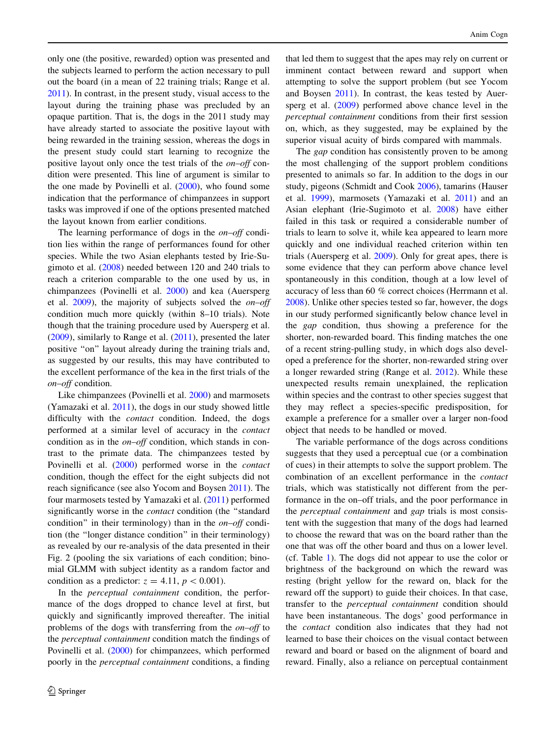only one (the positive, rewarded) option was presented and the subjects learned to perform the action necessary to pull out the board (in a mean of 22 training trials; Range et al. [2011\)](#page-9-0). In contrast, in the present study, visual access to the layout during the training phase was precluded by an opaque partition. That is, the dogs in the 2011 study may have already started to associate the positive layout with being rewarded in the training session, whereas the dogs in the present study could start learning to recognize the positive layout only once the test trials of the on–off condition were presented. This line of argument is similar to the one made by Povinelli et al.  $(2000)$  $(2000)$ , who found some indication that the performance of chimpanzees in support tasks was improved if one of the options presented matched the layout known from earlier conditions.

The learning performance of dogs in the *on–off* condition lies within the range of performances found for other species. While the two Asian elephants tested by Irie-Sugimoto et al. [\(2008](#page-9-0)) needed between 120 and 240 trials to reach a criterion comparable to the one used by us, in chimpanzees (Povinelli et al. [2000](#page-9-0)) and kea (Auersperg et al.  $2009$ ), the majority of subjects solved the *on–off* condition much more quickly (within 8–10 trials). Note though that the training procedure used by Auersperg et al. [\(2009](#page-8-0)), similarly to Range et al. [\(2011](#page-9-0)), presented the later positive ''on'' layout already during the training trials and, as suggested by our results, this may have contributed to the excellent performance of the kea in the first trials of the on–off condition.

Like chimpanzees (Povinelli et al. [2000\)](#page-9-0) and marmosets (Yamazaki et al. [2011\)](#page-9-0), the dogs in our study showed little difficulty with the *contact* condition. Indeed, the dogs performed at a similar level of accuracy in the contact condition as in the *on–off* condition, which stands in contrast to the primate data. The chimpanzees tested by Povinelli et al. ([2000\)](#page-9-0) performed worse in the contact condition, though the effect for the eight subjects did not reach significance (see also Yocom and Boysen [2011](#page-9-0)). The four marmosets tested by Yamazaki et al. ([2011\)](#page-9-0) performed significantly worse in the *contact* condition (the "standard condition" in their terminology) than in the *on–off* condition (the ''longer distance condition'' in their terminology) as revealed by our re-analysis of the data presented in their Fig. 2 (pooling the six variations of each condition; binomial GLMM with subject identity as a random factor and condition as a predictor:  $z = 4.11$ ,  $p < 0.001$ ).

In the perceptual containment condition, the performance of the dogs dropped to chance level at first, but quickly and significantly improved thereafter. The initial problems of the dogs with transferring from the on–off to the perceptual containment condition match the findings of Povinelli et al. ([2000\)](#page-9-0) for chimpanzees, which performed poorly in the perceptual containment conditions, a finding

that led them to suggest that the apes may rely on current or imminent contact between reward and support when attempting to solve the support problem (but see Yocom and Boysen [2011](#page-9-0)). In contrast, the keas tested by Auersperg et al. [\(2009](#page-8-0)) performed above chance level in the perceptual containment conditions from their first session on, which, as they suggested, may be explained by the superior visual acuity of birds compared with mammals.

The *gap* condition has consistently proven to be among the most challenging of the support problem conditions presented to animals so far. In addition to the dogs in our study, pigeons (Schmidt and Cook [2006](#page-9-0)), tamarins (Hauser et al. [1999\)](#page-9-0), marmosets (Yamazaki et al. [2011](#page-9-0)) and an Asian elephant (Irie-Sugimoto et al. [2008\)](#page-9-0) have either failed in this task or required a considerable number of trials to learn to solve it, while kea appeared to learn more quickly and one individual reached criterion within ten trials (Auersperg et al. [2009\)](#page-8-0). Only for great apes, there is some evidence that they can perform above chance level spontaneously in this condition, though at a low level of accuracy of less than 60 % correct choices (Herrmann et al. [2008](#page-9-0)). Unlike other species tested so far, however, the dogs in our study performed significantly below chance level in the gap condition, thus showing a preference for the shorter, non-rewarded board. This finding matches the one of a recent string-pulling study, in which dogs also developed a preference for the shorter, non-rewarded string over a longer rewarded string (Range et al. [2012](#page-9-0)). While these unexpected results remain unexplained, the replication within species and the contrast to other species suggest that they may reflect a species-specific predisposition, for example a preference for a smaller over a larger non-food object that needs to be handled or moved.

The variable performance of the dogs across conditions suggests that they used a perceptual cue (or a combination of cues) in their attempts to solve the support problem. The combination of an excellent performance in the contact trials, which was statistically not different from the performance in the on–off trials, and the poor performance in the perceptual containment and gap trials is most consistent with the suggestion that many of the dogs had learned to choose the reward that was on the board rather than the one that was off the other board and thus on a lower level. (cf. Table [1](#page-2-0)). The dogs did not appear to use the color or brightness of the background on which the reward was resting (bright yellow for the reward on, black for the reward off the support) to guide their choices. In that case, transfer to the perceptual containment condition should have been instantaneous. The dogs' good performance in the contact condition also indicates that they had not learned to base their choices on the visual contact between reward and board or based on the alignment of board and reward. Finally, also a reliance on perceptual containment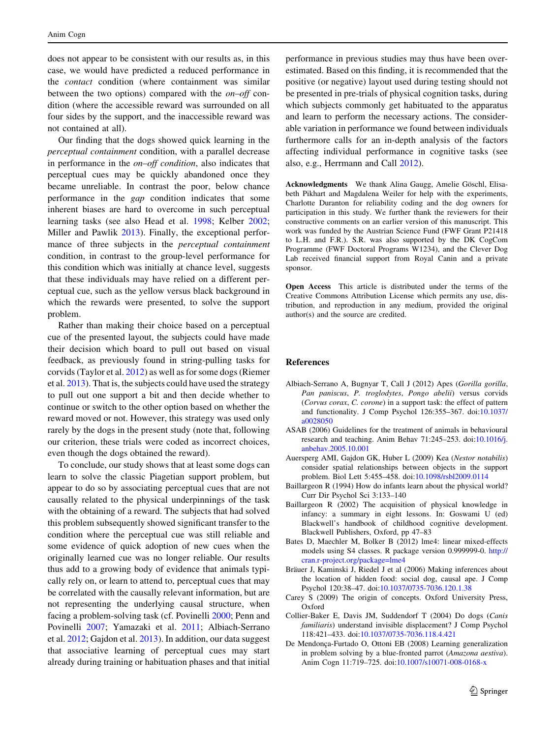<span id="page-8-0"></span>does not appear to be consistent with our results as, in this case, we would have predicted a reduced performance in the contact condition (where containment was similar between the two options) compared with the on–off condition (where the accessible reward was surrounded on all four sides by the support, and the inaccessible reward was not contained at all).

Our finding that the dogs showed quick learning in the perceptual containment condition, with a parallel decrease in performance in the on–off condition, also indicates that perceptual cues may be quickly abandoned once they became unreliable. In contrast the poor, below chance performance in the gap condition indicates that some inherent biases are hard to overcome in such perceptual learning tasks (see also Head et al. [1998;](#page-9-0) Kelber [2002](#page-9-0); Miller and Pawlik [2013](#page-9-0)). Finally, the exceptional performance of three subjects in the perceptual containment condition, in contrast to the group-level performance for this condition which was initially at chance level, suggests that these individuals may have relied on a different perceptual cue, such as the yellow versus black background in which the rewards were presented, to solve the support problem.

Rather than making their choice based on a perceptual cue of the presented layout, the subjects could have made their decision which board to pull out based on visual feedback, as previously found in string-pulling tasks for corvids (Taylor et al. [2012\)](#page-9-0) as well as for some dogs (Riemer et al. [2013\)](#page-9-0). That is, the subjects could have used the strategy to pull out one support a bit and then decide whether to continue or switch to the other option based on whether the reward moved or not. However, this strategy was used only rarely by the dogs in the present study (note that, following our criterion, these trials were coded as incorrect choices, even though the dogs obtained the reward).

To conclude, our study shows that at least some dogs can learn to solve the classic Piagetian support problem, but appear to do so by associating perceptual cues that are not causally related to the physical underpinnings of the task with the obtaining of a reward. The subjects that had solved this problem subsequently showed significant transfer to the condition where the perceptual cue was still reliable and some evidence of quick adoption of new cues when the originally learned cue was no longer reliable. Our results thus add to a growing body of evidence that animals typically rely on, or learn to attend to, perceptual cues that may be correlated with the causally relevant information, but are not representing the underlying causal structure, when facing a problem-solving task (cf. Povinelli [2000](#page-9-0); Penn and Povinelli [2007;](#page-9-0) Yamazaki et al. [2011;](#page-9-0) Albiach-Serrano et al. 2012; Gajdon et al. [2013\)](#page-9-0). In addition, our data suggest that associative learning of perceptual cues may start already during training or habituation phases and that initial

performance in previous studies may thus have been overestimated. Based on this finding, it is recommended that the positive (or negative) layout used during testing should not be presented in pre-trials of physical cognition tasks, during which subjects commonly get habituated to the apparatus and learn to perform the necessary actions. The considerable variation in performance we found between individuals furthermore calls for an in-depth analysis of the factors affecting individual performance in cognitive tasks (see also, e.g., Herrmann and Call [2012](#page-9-0)).

Acknowledgments We thank Alina Gaugg, Amelie Göschl, Elisabeth Pikhart and Magdalena Weiler for help with the experiments, Charlotte Duranton for reliability coding and the dog owners for participation in this study. We further thank the reviewers for their constructive comments on an earlier version of this manuscript. This work was funded by the Austrian Science Fund (FWF Grant P21418 to L.H. and F.R.). S.R. was also supported by the DK CogCom Programme (FWF Doctoral Programs W1234), and the Clever Dog Lab received financial support from Royal Canin and a private sponsor.

Open Access This article is distributed under the terms of the Creative Commons Attribution License which permits any use, distribution, and reproduction in any medium, provided the original author(s) and the source are credited.

#### References

- Albiach-Serrano A, Bugnyar T, Call J (2012) Apes (Gorilla gorilla, Pan paniscus, P. troglodytes, Pongo abelii) versus corvids (Corvus corax, C. corone) in a support task: the effect of pattern and functionality. J Comp Psychol 126:355–367. doi[:10.1037/](http://dx.doi.org/10.1037/a0028050) [a0028050](http://dx.doi.org/10.1037/a0028050)
- ASAB (2006) Guidelines for the treatment of animals in behavioural research and teaching. Anim Behav 71:245–253. doi:[10.1016/j.](http://dx.doi.org/10.1016/j.anbehav.2005.10.001) [anbehav.2005.10.001](http://dx.doi.org/10.1016/j.anbehav.2005.10.001)
- Auersperg AMI, Gajdon GK, Huber L (2009) Kea (Nestor notabilis) consider spatial relationships between objects in the support problem. Biol Lett 5:455–458. doi:[10.1098/rsbl2009.0114](http://dx.doi.org/10.1098/rsbl2009.0114)
- Baillargeon R (1994) How do infants learn about the physical world? Curr Dir Psychol Sci 3:133–140
- Baillargeon R (2002) The acquisition of physical knowledge in infancy: a summary in eight lessons. In: Goswami U (ed) Blackwell's handbook of childhood cognitive development. Blackwell Publishers, Oxford, pp 47–83
- Bates D, Maechler M, Bolker B (2012) lme4: linear mixed-effects models using S4 classes. R package version 0.999999-0. [http://](http://cran.r-project.org/package=lme4) [cran.r-project.org/package=lme4](http://cran.r-project.org/package=lme4)
- Bräuer J, Kaminski J, Riedel J et al (2006) Making inferences about the location of hidden food: social dog, causal ape. J Comp Psychol 120:38–47. doi[:10.1037/0735-7036.120.1.38](http://dx.doi.org/10.1037/0735-7036.120.1.38)
- Carey S (2009) The origin of concepts. Oxford University Press, Oxford
- Collier-Baker E, Davis JM, Suddendorf T (2004) Do dogs (Canis familiaris) understand invisible displacement? J Comp Psychol 118:421–433. doi[:10.1037/0735-7036.118.4.421](http://dx.doi.org/10.1037/0735-7036.118.4.421)
- De Mendonca-Furtado O, Ottoni EB (2008) Learning generalization in problem solving by a blue-fronted parrot (Amazona aestiva). Anim Cogn 11:719–725. doi[:10.1007/s10071-008-0168-x](http://dx.doi.org/10.1007/s10071-008-0168-x)